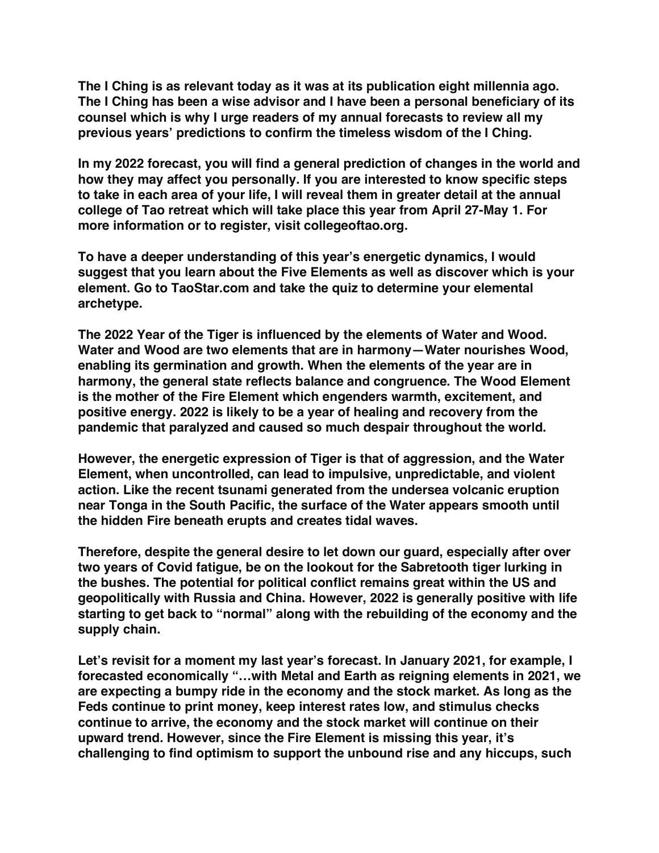**The I Ching is as relevant today as it was at its publication eight millennia ago. The I Ching has been a wise advisor and I have been a personal beneficiary of its counsel which is why I urge readers of my annual forecasts to review all my previous years' predictions to confirm the timeless wisdom of the I Ching.**

**In my 2022 forecast, you will find a general prediction of changes in the world and how they may affect you personally. If you are interested to know specific steps to take in each area of your life, I will reveal them in greater detail at the annual college of Tao retreat which will take place this year from April 27-May 1. For more information or to register, visit collegeoftao.org.**

**To have a deeper understanding of this year's energetic dynamics, I would suggest that you learn about the Five Elements as well as discover which is your element. Go to TaoStar.com and take the quiz to determine your elemental archetype.**

**The 2022 Year of the Tiger is influenced by the elements of Water and Wood. Water and Wood are two elements that are in harmony—Water nourishes Wood, enabling its germination and growth. When the elements of the year are in harmony, the general state reflects balance and congruence. The Wood Element is the mother of the Fire Element which engenders warmth, excitement, and positive energy. 2022 is likely to be a year of healing and recovery from the pandemic that paralyzed and caused so much despair throughout the world.**

**However, the energetic expression of Tiger is that of aggression, and the Water Element, when uncontrolled, can lead to impulsive, unpredictable, and violent action. Like the recent tsunami generated from the undersea volcanic eruption near Tonga in the South Pacific, the surface of the Water appears smooth until the hidden Fire beneath erupts and creates tidal waves.**

**Therefore, despite the general desire to let down our guard, especially after over two years of Covid fatigue, be on the lookout for the Sabretooth tiger lurking in the bushes. The potential for political conflict remains great within the US and geopolitically with Russia and China. However, 2022 is generally positive with life starting to get back to "normal" along with the rebuilding of the economy and the supply chain.**

**Let's revisit for a moment my last year's forecast. In January 2021, for example, I forecasted economically "…with Metal and Earth as reigning elements in 2021, we are expecting a bumpy ride in the economy and the stock market. As long as the Feds continue to print money, keep interest rates low, and stimulus checks continue to arrive, the economy and the stock market will continue on their upward trend. However, since the Fire Element is missing this year, it's challenging to find optimism to support the unbound rise and any hiccups, such**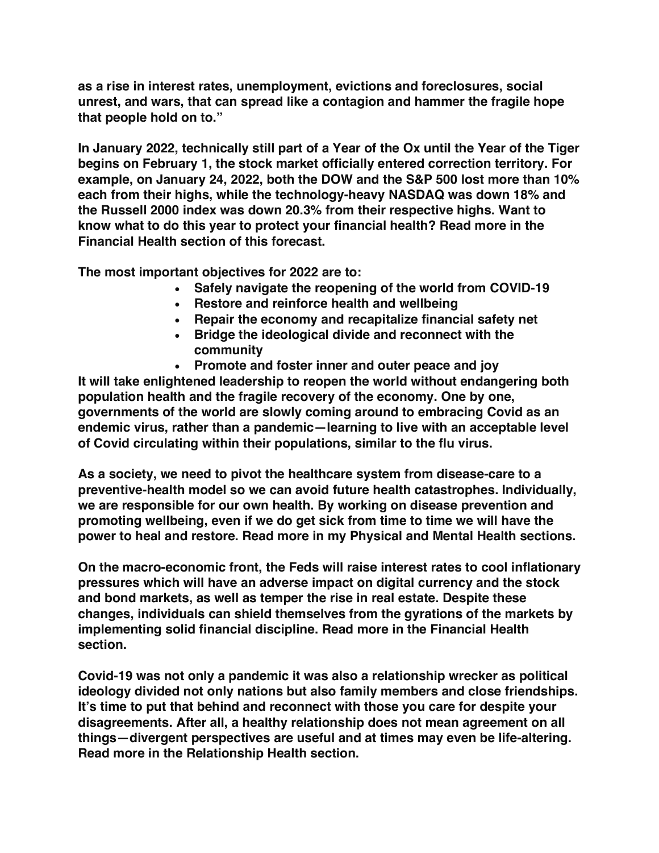**as a rise in interest rates, unemployment, evictions and foreclosures, social unrest, and wars, that can spread like a contagion and hammer the fragile hope that people hold on to."**

**In January 2022, technically still part of a Year of the Ox until the Year of the Tiger begins on February 1, the stock market officially entered correction territory. For example, on January 24, 2022, both the DOW and the S&P 500 lost more than 10% each from their highs, while the technology-heavy NASDAQ was down 18% and the Russell 2000 index was down 20.3% from their respective highs. Want to know what to do this year to protect your financial health? Read more in the Financial Health section of this forecast.**

**The most important objectives for 2022 are to:**

- **Safely navigate the reopening of the world from COVID-19**
- **Restore and reinforce health and wellbeing**
- **Repair the economy and recapitalize financial safety net**
- **Bridge the ideological divide and reconnect with the community**
- **Promote and foster inner and outer peace and joy**

**It will take enlightened leadership to reopen the world without endangering both population health and the fragile recovery of the economy. One by one, governments of the world are slowly coming around to embracing Covid as an endemic virus, rather than a pandemic—learning to live with an acceptable level of Covid circulating within their populations, similar to the flu virus.**

**As a society, we need to pivot the healthcare system from disease-care to a preventive-health model so we can avoid future health catastrophes. Individually, we are responsible for our own health. By working on disease prevention and promoting wellbeing, even if we do get sick from time to time we will have the power to heal and restore. Read more in my Physical and Mental Health sections.**

**On the macro-economic front, the Feds will raise interest rates to cool inflationary pressures which will have an adverse impact on digital currency and the stock and bond markets, as well as temper the rise in real estate. Despite these changes, individuals can shield themselves from the gyrations of the markets by implementing solid financial discipline. Read more in the Financial Health section.**

**Covid-19 was not only a pandemic it was also a relationship wrecker as political ideology divided not only nations but also family members and close friendships. It's time to put that behind and reconnect with those you care for despite your disagreements. After all, a healthy relationship does not mean agreement on all things—divergent perspectives are useful and at times may even be life-altering. Read more in the Relationship Health section.**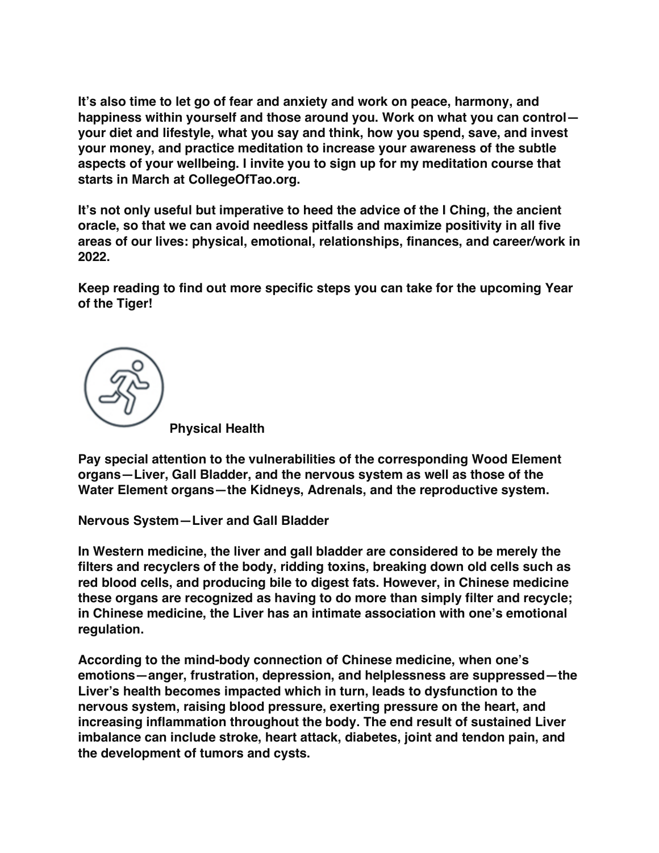**It's also time to let go of fear and anxiety and work on peace, harmony, and happiness within yourself and those around you. Work on what you can control your diet and lifestyle, what you say and think, how you spend, save, and invest your money, and practice meditation to increase your awareness of the subtle aspects of your wellbeing. I invite you to sign up for my meditation course that starts in March at CollegeOfTao.org.**

**It's not only useful but imperative to heed the advice of the I Ching, the ancient oracle, so that we can avoid needless pitfalls and maximize positivity in all five areas of our lives: physical, emotional, relationships, finances, and career/work in 2022.**

**Keep reading to find out more specific steps you can take for the upcoming Year of the Tiger!**



**Pay special attention to the vulnerabilities of the corresponding Wood Element organs—Liver, Gall Bladder, and the nervous system as well as those of the Water Element organs—the Kidneys, Adrenals, and the reproductive system.**

**Nervous System—Liver and Gall Bladder**

**In Western medicine, the liver and gall bladder are considered to be merely the filters and recyclers of the body, ridding toxins, breaking down old cells such as red blood cells, and producing bile to digest fats. However, in Chinese medicine these organs are recognized as having to do more than simply filter and recycle; in Chinese medicine, the Liver has an intimate association with one's emotional regulation.**

**According to the mind-body connection of Chinese medicine, when one's emotions—anger, frustration, depression, and helplessness are suppressed—the Liver's health becomes impacted which in turn, leads to dysfunction to the nervous system, raising blood pressure, exerting pressure on the heart, and increasing inflammation throughout the body. The end result of sustained Liver imbalance can include stroke, heart attack, diabetes, joint and tendon pain, and the development of tumors and cysts.**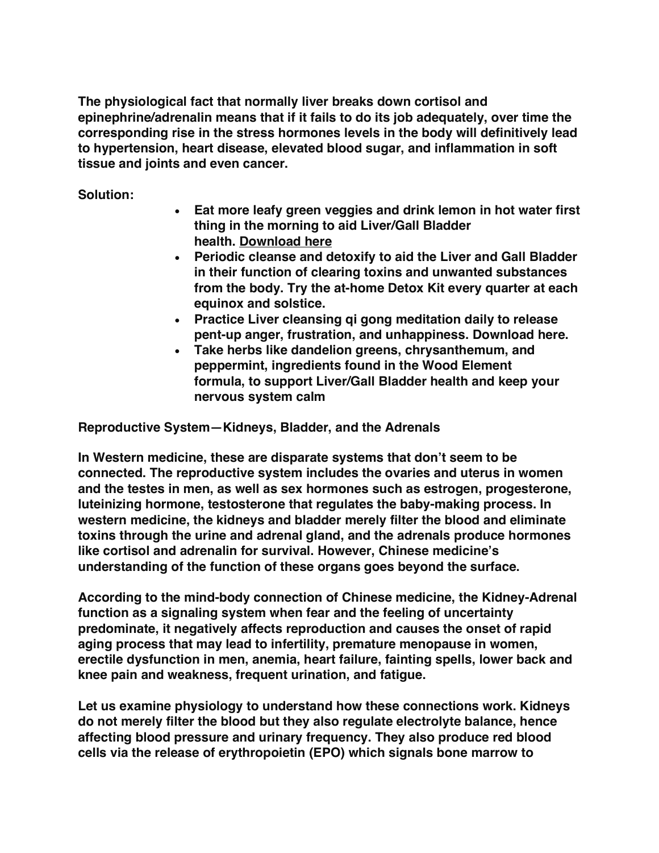**The physiological fact that normally liver breaks down cortisol and epinephrine/adrenalin means that if it fails to do its job adequately, over time the corresponding rise in the stress hormones levels in the body will definitively lead to hypertension, heart disease, elevated blood sugar, and inflammation in soft tissue and joints and even cancer.**

**Solution:**

- **Eat more leafy green veggies and drink lemon in hot water first thing in the morning to aid Liver/Gall Bladder health. Download here**
- **Periodic cleanse and detoxify to aid the Liver and Gall Bladder in their function of clearing toxins and unwanted substances from the body. Try the at-home Detox Kit every quarter at each equinox and solstice.**
- **Practice Liver cleansing qi gong meditation daily to release pent-up anger, frustration, and unhappiness. Download here.**
- **Take herbs like dandelion greens, chrysanthemum, and peppermint, ingredients found in the Wood Element formula, to support Liver/Gall Bladder health and keep your nervous system calm**

**Reproductive System—Kidneys, Bladder, and the Adrenals**

**In Western medicine, these are disparate systems that don't seem to be connected. The reproductive system includes the ovaries and uterus in women and the testes in men, as well as sex hormones such as estrogen, progesterone, luteinizing hormone, testosterone that regulates the baby-making process. In western medicine, the kidneys and bladder merely filter the blood and eliminate toxins through the urine and adrenal gland, and the adrenals produce hormones like cortisol and adrenalin for survival. However, Chinese medicine's understanding of the function of these organs goes beyond the surface.**

**According to the mind-body connection of Chinese medicine, the Kidney-Adrenal function as a signaling system when fear and the feeling of uncertainty predominate, it negatively affects reproduction and causes the onset of rapid aging process that may lead to infertility, premature menopause in women, erectile dysfunction in men, anemia, heart failure, fainting spells, lower back and knee pain and weakness, frequent urination, and fatigue.**

**Let us examine physiology to understand how these connections work. Kidneys do not merely filter the blood but they also regulate electrolyte balance, hence affecting blood pressure and urinary frequency. They also produce red blood cells via the release of erythropoietin (EPO) which signals bone marrow to**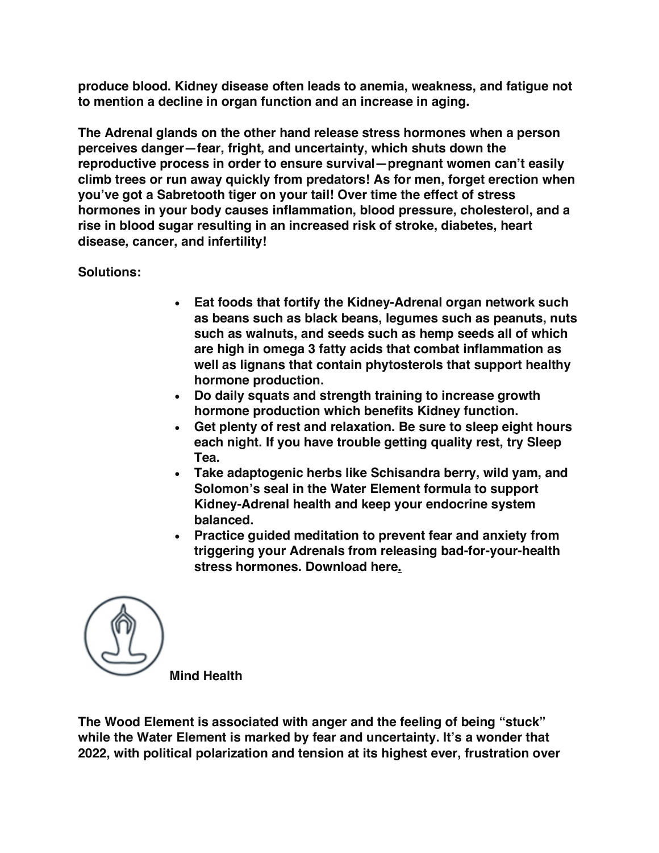**produce blood. Kidney disease often leads to anemia, weakness, and fatigue not to mention a decline in organ function and an increase in aging.**

**The Adrenal glands on the other hand release stress hormones when a person perceives danger—fear, fright, and uncertainty, which shuts down the reproductive process in order to ensure survival—pregnant women can't easily climb trees or run away quickly from predators! As for men, forget erection when you've got a Sabretooth tiger on your tail! Over time the effect of stress hormones in your body causes inflammation, blood pressure, cholesterol, and a rise in blood sugar resulting in an increased risk of stroke, diabetes, heart disease, cancer, and infertility!**

## **Solutions:**

- **Eat foods that fortify the Kidney-Adrenal organ network such as beans such as black beans, legumes such as peanuts, nuts such as walnuts, and seeds such as hemp seeds all of which are high in omega 3 fatty acids that combat inflammation as well as lignans that contain phytosterols that support healthy hormone production.**
- **Do daily squats and strength training to increase growth hormone production which benefits Kidney function.**
- **Get plenty of rest and relaxation. Be sure to sleep eight hours each night. If you have trouble getting quality rest, try Sleep Tea.**
- **Take adaptogenic herbs like Schisandra berry, wild yam, and Solomon's seal in the Water Element formula to support Kidney-Adrenal health and keep your endocrine system balanced.**
- **Practice guided meditation to prevent fear and anxiety from triggering your Adrenals from releasing bad-for-your-health stress hormones. Download here.**



**Mind Health**

**The Wood Element is associated with anger and the feeling of being "stuck" while the Water Element is marked by fear and uncertainty. It's a wonder that 2022, with political polarization and tension at its highest ever, frustration over**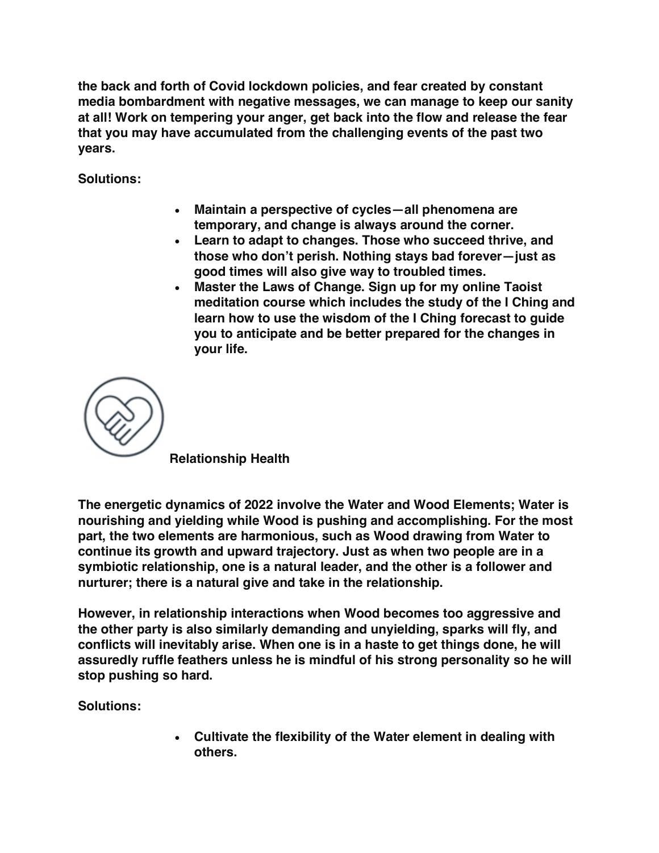**the back and forth of Covid lockdown policies, and fear created by constant media bombardment with negative messages, we can manage to keep our sanity at all! Work on tempering your anger, get back into the flow and release the fear that you may have accumulated from the challenging events of the past two years.**

**Solutions:**

- **Maintain a perspective of cycles—all phenomena are temporary, and change is always around the corner.**
- **Learn to adapt to changes. Those who succeed thrive, and those who don't perish. Nothing stays bad forever—just as good times will also give way to troubled times.**
- **Master the Laws of Change. Sign up for my online Taoist meditation course which includes the study of the I Ching and learn how to use the wisdom of the I Ching forecast to guide you to anticipate and be better prepared for the changes in your life.**

**Relationship Health**

**The energetic dynamics of 2022 involve the Water and Wood Elements; Water is nourishing and yielding while Wood is pushing and accomplishing. For the most part, the two elements are harmonious, such as Wood drawing from Water to continue its growth and upward trajectory. Just as when two people are in a symbiotic relationship, one is a natural leader, and the other is a follower and nurturer; there is a natural give and take in the relationship.**

**However, in relationship interactions when Wood becomes too aggressive and the other party is also similarly demanding and unyielding, sparks will fly, and conflicts will inevitably arise. When one is in a haste to get things done, he will assuredly ruffle feathers unless he is mindful of his strong personality so he will stop pushing so hard.**

**Solutions:**

• **Cultivate the flexibility of the Water element in dealing with others.**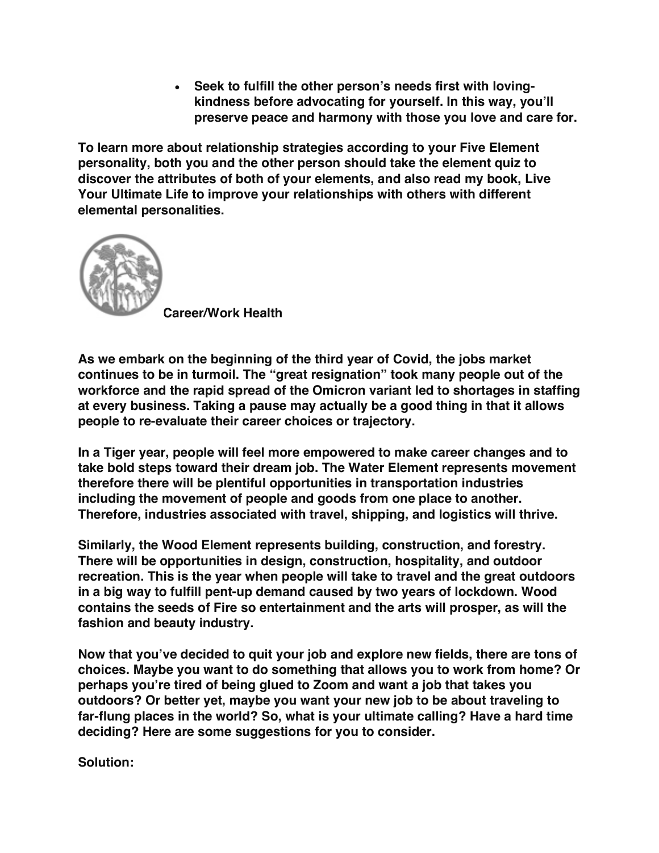• **Seek to fulfill the other person's needs first with lovingkindness before advocating for yourself. In this way, you'll preserve peace and harmony with those you love and care for.**

**To learn more about relationship strategies according to your Five Element personality, both you and the other person should take the element quiz to discover the attributes of both of your elements, and also read my book, Live Your Ultimate Life to improve your relationships with others with different elemental personalities.**



**Career/Work Health**

**As we embark on the beginning of the third year of Covid, the jobs market continues to be in turmoil. The "great resignation" took many people out of the workforce and the rapid spread of the Omicron variant led to shortages in staffing at every business. Taking a pause may actually be a good thing in that it allows people to re-evaluate their career choices or trajectory.**

**In a Tiger year, people will feel more empowered to make career changes and to take bold steps toward their dream job. The Water Element represents movement therefore there will be plentiful opportunities in transportation industries including the movement of people and goods from one place to another. Therefore, industries associated with travel, shipping, and logistics will thrive.**

**Similarly, the Wood Element represents building, construction, and forestry. There will be opportunities in design, construction, hospitality, and outdoor recreation. This is the year when people will take to travel and the great outdoors in a big way to fulfill pent-up demand caused by two years of lockdown. Wood contains the seeds of Fire so entertainment and the arts will prosper, as will the fashion and beauty industry.**

**Now that you've decided to quit your job and explore new fields, there are tons of choices. Maybe you want to do something that allows you to work from home? Or perhaps you're tired of being glued to Zoom and want a job that takes you outdoors? Or better yet, maybe you want your new job to be about traveling to far-flung places in the world? So, what is your ultimate calling? Have a hard time deciding? Here are some suggestions for you to consider.**

**Solution:**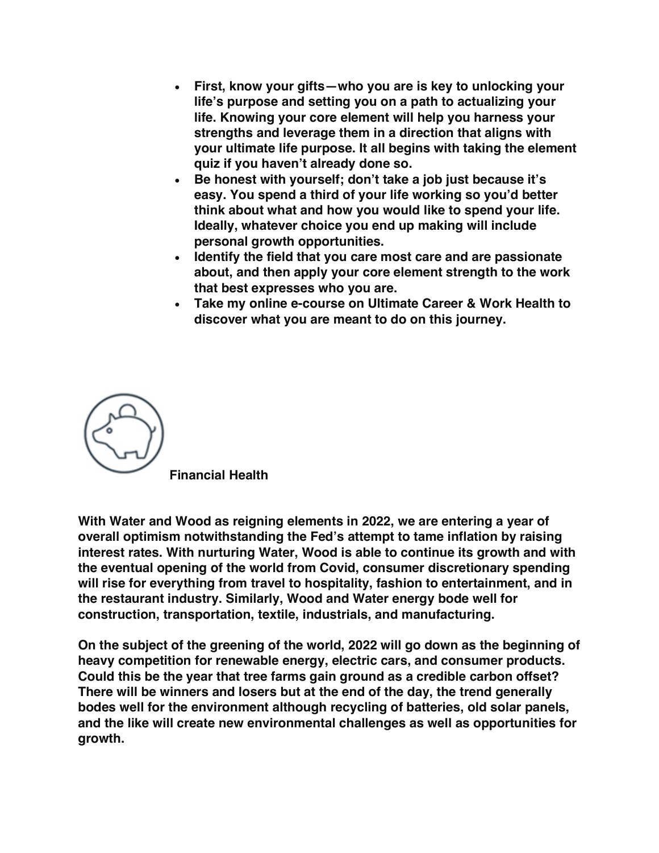- **First, know your gifts—who you are is key to unlocking your life's purpose and setting you on a path to actualizing your life. Knowing your core element will help you harness your strengths and leverage them in a direction that aligns with your ultimate life purpose. It all begins with taking the element quiz if you haven't already done so.**
- **Be honest with yourself; don't take a job just because it's easy. You spend a third of your life working so you'd better think about what and how you would like to spend your life. Ideally, whatever choice you end up making will include personal growth opportunities.**
- **Identify the field that you care most care and are passionate about, and then apply your core element strength to the work that best expresses who you are.**
- **Take my online e-course on Ultimate Career & Work Health to discover what you are meant to do on this journey.**



**Financial Health**

**With Water and Wood as reigning elements in 2022, we are entering a year of overall optimism notwithstanding the Fed's attempt to tame inflation by raising interest rates. With nurturing Water, Wood is able to continue its growth and with the eventual opening of the world from Covid, consumer discretionary spending will rise for everything from travel to hospitality, fashion to entertainment, and in the restaurant industry. Similarly, Wood and Water energy bode well for construction, transportation, textile, industrials, and manufacturing.**

**On the subject of the greening of the world, 2022 will go down as the beginning of heavy competition for renewable energy, electric cars, and consumer products. Could this be the year that tree farms gain ground as a credible carbon offset? There will be winners and losers but at the end of the day, the trend generally bodes well for the environment although recycling of batteries, old solar panels, and the like will create new environmental challenges as well as opportunities for growth.**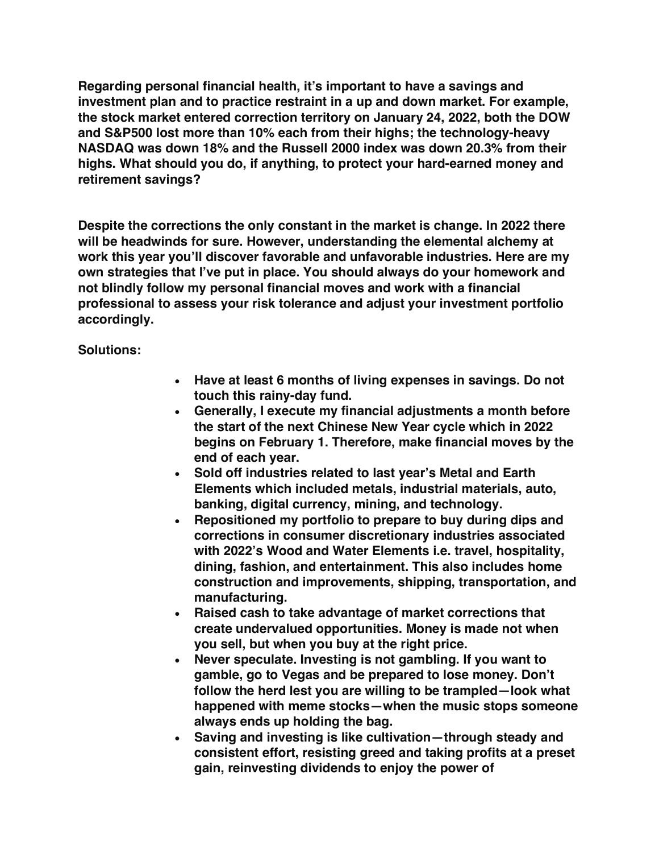**Regarding personal financial health, it's important to have a savings and investment plan and to practice restraint in a up and down market. For example, the stock market entered correction territory on January 24, 2022, both the DOW and S&P500 lost more than 10% each from their highs; the technology-heavy NASDAQ was down 18% and the Russell 2000 index was down 20.3% from their highs. What should you do, if anything, to protect your hard-earned money and retirement savings?**

**Despite the corrections the only constant in the market is change. In 2022 there will be headwinds for sure. However, understanding the elemental alchemy at work this year you'll discover favorable and unfavorable industries. Here are my own strategies that I've put in place. You should always do your homework and not blindly follow my personal financial moves and work with a financial professional to assess your risk tolerance and adjust your investment portfolio accordingly.**

**Solutions:**

- **Have at least 6 months of living expenses in savings. Do not touch this rainy-day fund.**
- **Generally, I execute my financial adjustments a month before the start of the next Chinese New Year cycle which in 2022 begins on February 1. Therefore, make financial moves by the end of each year.**
- **Sold off industries related to last year's Metal and Earth Elements which included metals, industrial materials, auto, banking, digital currency, mining, and technology.**
- **Repositioned my portfolio to prepare to buy during dips and corrections in consumer discretionary industries associated with 2022's Wood and Water Elements i.e. travel, hospitality, dining, fashion, and entertainment. This also includes home construction and improvements, shipping, transportation, and manufacturing.**
- **Raised cash to take advantage of market corrections that create undervalued opportunities. Money is made not when you sell, but when you buy at the right price.**
- **Never speculate. Investing is not gambling. If you want to gamble, go to Vegas and be prepared to lose money. Don't follow the herd lest you are willing to be trampled—look what happened with meme stocks—when the music stops someone always ends up holding the bag.**
- **Saving and investing is like cultivation—through steady and consistent effort, resisting greed and taking profits at a preset gain, reinvesting dividends to enjoy the power of**